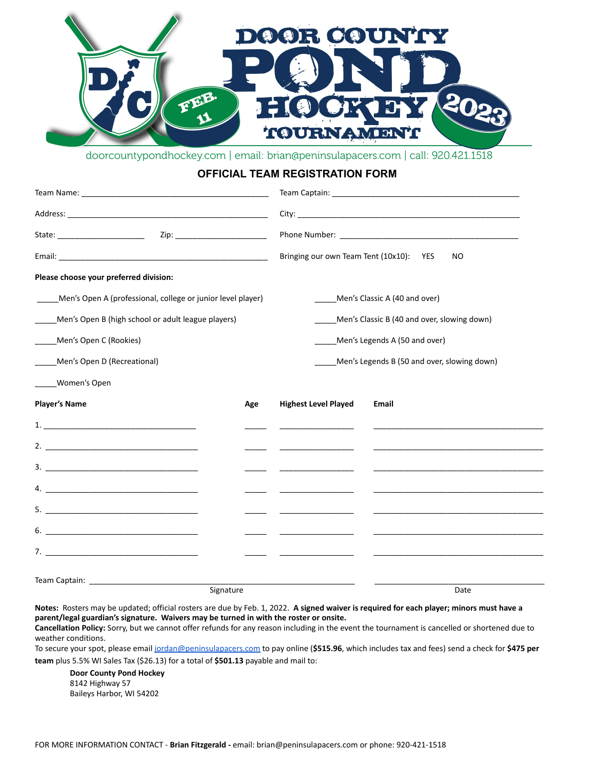

doorcountypondhockey.com | email: brian@peninsulapacers.com | call: 920.421.1518

## **OFFICIAL TEAM REGISTRATION FORM**

|                                                             |           | Bringing our own Team Tent (10x10):<br>NO<br><b>YES</b> |                               |  |
|-------------------------------------------------------------|-----------|---------------------------------------------------------|-------------------------------|--|
| Please choose your preferred division:                      |           |                                                         |                               |  |
| Men's Open A (professional, college or junior level player) |           |                                                         | Men's Classic A (40 and over) |  |
| Men's Open B (high school or adult league players)          |           | Men's Classic B (40 and over, slowing down)             |                               |  |
| Men's Open C (Rookies)                                      |           | Men's Legends A (50 and over)                           |                               |  |
| Men's Open D (Recreational)                                 |           | Men's Legends B (50 and over, slowing down)             |                               |  |
| Women's Open                                                |           |                                                         |                               |  |
| <b>Player's Name</b>                                        | Age       | <b>Highest Level Played</b>                             | Email                         |  |
|                                                             |           |                                                         |                               |  |
|                                                             |           |                                                         |                               |  |
|                                                             |           |                                                         |                               |  |
| 4. $\qquad \qquad$                                          |           |                                                         |                               |  |
|                                                             |           |                                                         |                               |  |
| $6.$ $\overline{\phantom{a}}$                               |           |                                                         |                               |  |
|                                                             |           |                                                         |                               |  |
|                                                             |           |                                                         |                               |  |
|                                                             | Signature |                                                         | Date                          |  |

**Notes:** Rosters may be updated; official rosters are due by Feb. 1, 2022. **A signed waiver is required for each player; minors must have a parent/legal guardian's signature. Waivers may be turned in with the roster or onsite.**

**Cancellation Policy:** Sorry, but we cannot offer refunds for any reason including in the event the tournament is cancelled or shortened due to weather conditions.

To secure your spot, please email [jordan@peninsulapacers.com](mailto:jordan@peninsulapacers.com) to pay online (**\$515.96**, which includes tax and fees) send a check for **\$475 per team** plus 5.5% WI Sales Tax (\$26.13) for a total of **\$501.13** payable and mail to:

**Door County Pond Hockey** 8142 Highway 57 Baileys Harbor, WI 54202